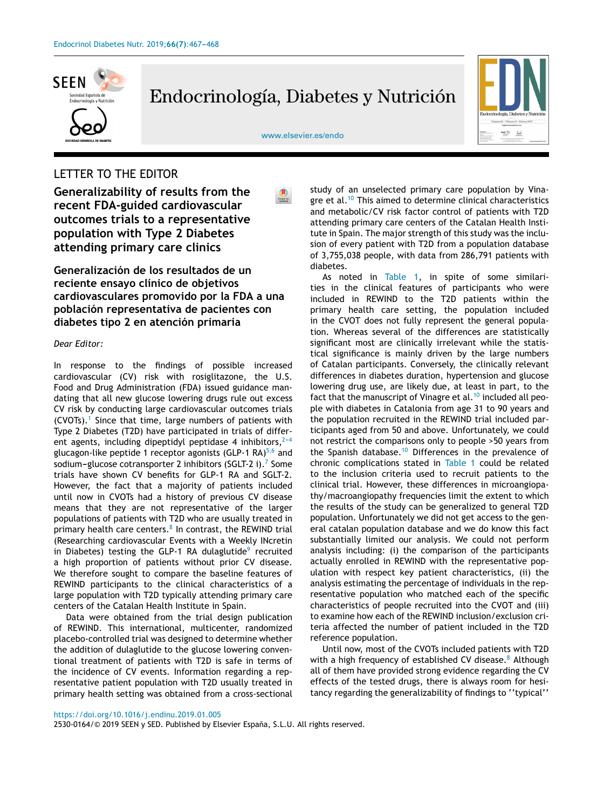

Endocrinología, Diabetes y Nutrición



[www.elsevier.es/endo](http://www.elsevier.es/endo)

## LETTER TO THE EDITOR

**Generalizability of results from the recent FDA-guided cardiovascular outcomes trials to a representative population with Type 2 Diabetes attending primary care clinics**

**Generalización de los resultados de un reciente ensayo clínico de objetivos cardiovasculares promovido por la FDA a una población representativa de pacientes con diabetes tipo 2 en atención primaria**

## *Dear Editor:*

In response to the findings of possible increased cardiovascular (CV) risk with rosiglitazone, the U.S. Food and Drug Administration (FDA) issued guidance mandating that all new glucose lowering drugs rule out excess CV risk by conducting large cardiovascular outcomes trials (CVOTs).<sup>[1](#page-1-0)</sup> Since that time, large numbers of patients with Type 2 Diabetes (T2D) have participated in trials of different agents, including dipeptidyl peptidase 4 inhibitors,  $2-4$ glucagon-like peptide 1 receptor agonists (GLP-1 RA) $^{5,6}$  $^{5,6}$  $^{5,6}$  and sodium–glucose cotransporter 2 inhibitors ([S](#page-1-0)GLT-2 i).<sup>7</sup> Some trials have shown CV benefits for GLP-1 RA and SGLT-2. However, the fact that a majority of patients included until now in CVOTs had a history of previous CV disease means that they are not representative of the larger populations of patients with T2D who are usually treated in primary health care centers. $^{\text{8}}$  $^{\text{8}}$  $^{\text{8}}$  In contrast, the REWIND trial (Researching cardiovascular Events with a Weekly INcretin in Diabetes) testing the GLP-1 RA dulaglutide<sup>[9](#page-1-0)</sup> recruited a high proportion of patients without prior CV disease. We therefore sought to compare the baseline features of REWIND participants to the clinical characteristics of a large population with T2D typically attending primary care centers of the Catalan Health Institute in Spain.

Data were obtained from the trial design publication of REWIND. This international, multicenter, randomized placebo-controlled trial was designed to determine whether the addition of dulaglutide to the glucose lowering conventional treatment of patients with T2D is safe in terms of the incidence of CV events. Information regarding a representative patient population with T2D usually treated in primary health setting was obtained from a cross-sectional

study of an unselected primary care population by Vina-gre et al.<sup>[10](#page-1-0)</sup> This aimed to determine clinical characteristics and metabolic/CV risk factor control of patients with T2D attending primary care centers of the Catalan Health Institute in Spain. The major strength of this study was the inclusion of every patient with T2D from a population database of 3,755,038 people, with data from 286,791 patients with diabetes.

As noted in [Table](#page-1-0) 1, in spite of some similarities in the clinical features of participants who were included in REWIND to the T2D patients within the primary health care setting, the population included in the CVOT does not fully represent the general population. Whereas several of the differences are statistically significant most are clinically irrelevant while the statistical significance is mainly driven by the large numbers of Catalan participants. Conversely, the clinically relevant differences in diabetes duration, hypertension and glucose lowering drug use, are likely due, at least in part, to the fact that the manuscript of Vinagre et al. $10$  included all people with diabetes in Catalonia from age 31 to 90 years and the population recruited in the REWIND trial included participants aged from 50 and above. Unfortunately, we could not restrict the comparisons only to people >50 years from the Spanish database.<sup>[10](#page-1-0)</sup> Differences in the prevalence of chronic complications stated in [Table](#page-1-0) 1 could be related to the inclusion criteria used to recruit patients to the clinical trial. However, these differences in microangiopathy/macroangiopathy frequencies limit the extent to which the results of the study can be generalized to general T2D population. Unfortunately we did not get access to the general catalan population database and we do know this fact substantially limited our analysis. We could not perform analysis including: (i) the comparison of the participants actually enrolled in REWIND with the representative population with respect key patient characteristics, (ii) the analysis estimating the percentage of individuals in the representative population who matched each of the specific characteristics of people recruited into the CVOT and (iii) to examine how each of the REWIND inclusion/exclusion criteria affected the number of patient included in the T2D reference population.

Until now, most of the CVOTs included patients with T2D with a high frequency of established CV disease.<sup>[8](#page-1-0)</sup> Although all of them have provided strong evidence regarding the CV effects of the tested drugs, there is always room for hesitancy regarding the generalizability of findings to ''typical''

2530-0164/© 2019 SEEN y SED. Published by Elsevier España, S.L.U. All rights reserved.